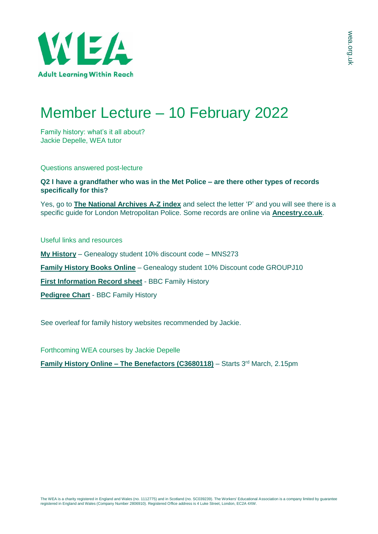

# Member Lecture – 10 February 2022

Family history: what's it all about? Jackie Depelle, WEA tutor

Questions answered post-lecture

## **Q2 I have a grandfather who was in the Met Police – are there other types of records specifically for this?**

Yes, go to **[The National Archives A-Z index](https://www.nationalarchives.gov.uk/help-with-your-research/research-guides-keywords/)** and select the letter 'P' and you will see there is a specific guide for London Metropolitan Police. Some records are online via **[Ancestry.co.uk](https://www.ancestry.co.uk/search/collections/61310/)**.

Useful links and resources

**[My History](http://www.myhistory.co.uk/)** – Genealogy student 10% discount code – MNS273

**[Family History Books Online](http://www.familyhistorybooksonline.com/)** – Genealogy student 10% Discount code GROUPJ10

**[First Information Record sheet](https://www.bbc.co.uk/history/familyhistory/documents/first_information_sheet.pdf)** - BBC Family History

**[Pedigree Chart](https://www.bbc.co.uk/history/familyhistory/documents/pedigree_chart.pdf)** - BBC Family History

See overleaf for family history websites recommended by Jackie.

Forthcoming WEA courses by Jackie Depelle

**Family History Online – [The Benefactors \(C3680118\)](https://enrolonline.wea.org.uk/Online/2021/CourseInfo.aspx?r=C3680118)** – Starts 3<sup>rd</sup> March, 2.15pm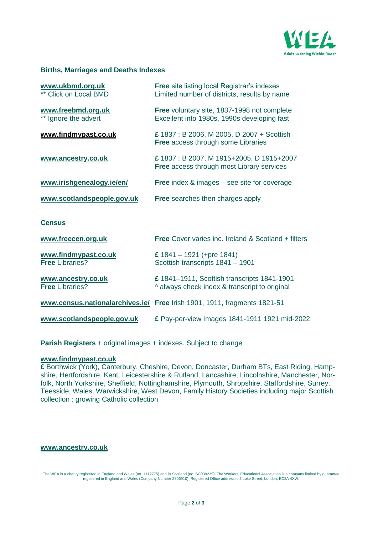

### **Births, Marriages and Deaths Indexes**

| www.ukbmd.org.uk<br>** Click on Local BMD      | <b>Free site listing local Registrar's indexes</b><br>Limited number of districts, results by name |
|------------------------------------------------|----------------------------------------------------------------------------------------------------|
| www.freebmd.org.uk<br>** Ignore the advert     | Free voluntary site, 1837-1998 not complete<br>Excellent into 1980s, 1990s developing fast         |
| www.findmypast.co.uk                           | £ 1837 : B 2006, M 2005, D 2007 + Scottish<br><b>Free access through some Libraries</b>            |
| www.ancestry.co.uk                             | £1837: B 2007, M 1915+2005, D 1915+2007<br><b>Free access through most Library services</b>        |
| www.irishgenealogy.ie/en/                      | <b>Free</b> index $\&$ images $-$ see site for coverage                                            |
| www.scotlandspeople.gov.uk                     | <b>Free</b> searches then charges apply                                                            |
| <b>Census</b>                                  |                                                                                                    |
| www.freecen.org.uk                             | <b>Free Cover varies inc. Ireland &amp; Scotland + filters</b>                                     |
| www.findmypast.co.uk<br><b>Free Libraries?</b> | £ $1841 - 1921$ (+pre 1841)<br>Scottish transcripts 1841 - 1901                                    |
| www.ancestry.co.uk<br><b>Free Libraries?</b>   | £ 1841-1911, Scottish transcripts 1841-1901<br>^ always check index & transcript to original       |
|                                                | www.census.nationalarchives.ie/ Free Irish 1901, 1911, fragments 1821-51                           |
| www.scotlandspeople.gov.uk                     | £ Pay-per-view Images 1841-1911 1921 mid-2022                                                      |

**Parish Registers** + original images + indexes. Subject to change

### **[www.findmypast.co.uk](http://www.findmypast.co.uk/)**

**£** Borthwick (York), Canterbury, Cheshire, Devon, Doncaster, Durham BTs, East Riding, Hampshire, Hertfordshire, Kent, Leicestershire & Rutland, Lancashire, Lincolnshire, Manchester, Norfolk, North Yorkshire, Sheffield, Nottinghamshire, Plymouth, Shropshire, Staffordshire, Surrey, Teesside, Wales, Warwickshire, West Devon, Family History Societies including major Scottish collection : growing Catholic collection

### **[www.ancestry.co.uk](http://www.ancestry.co.uk/)**

The WEA is a charity registered in England and Wales (no. 1112775) and in Scotland (no. SC039239). The Workers' Educational Association is a company limited by guarantee<br>registered in England and Wales (Company Number 2806